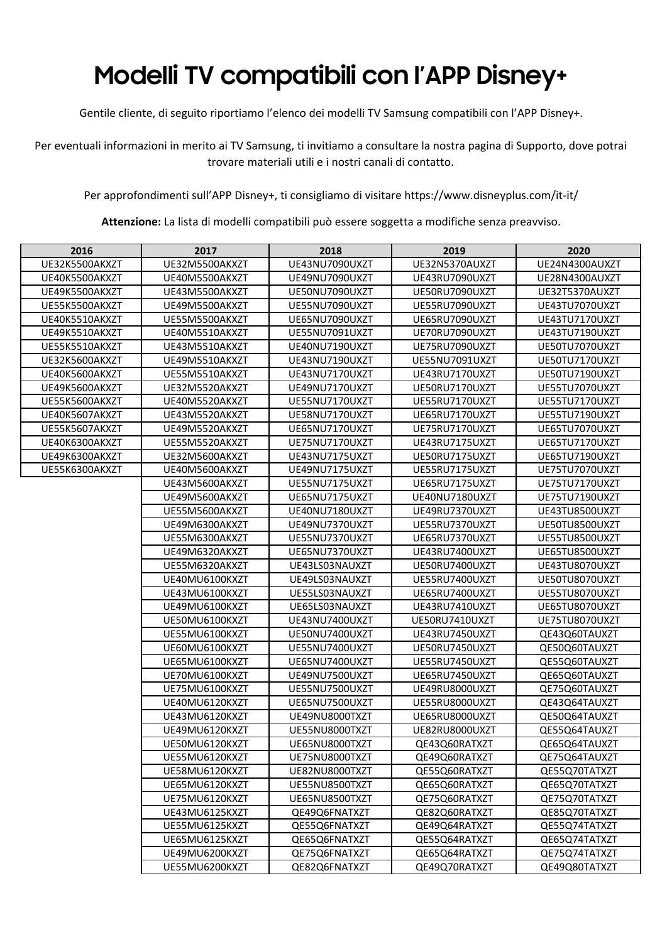## **Modelli TV compatibili con l'APP Disney+**

Gentile cliente, di seguito riportiamo l'elenco dei modelli TV Samsung compatibili con l'APP Disney+.

Per eventuali informazioni in merito ai TV Samsung, ti invitiamo a consultare la nostra pagina di Supporto, dove potrai trovare materiali utili e i nostri canali di contatto.

Per approfondimenti sull'APP Disney+, ti consigliamo di visitare https://www.disneyplus.com/it-it/

**Attenzione:** La lista di modelli compatibili può essere soggetta a modifiche senza preavviso.

| 2016           | 2017           | 2018           | 2019           | 2020           |
|----------------|----------------|----------------|----------------|----------------|
| UE32K5500AKXZT | UE32M5500AKXZT | UE43NU7090UXZT | UE32N5370AUXZT | UE24N4300AUXZT |
| UE40K5500AKXZT | UE40M5500AKXZT | UE49NU7090UXZT | UE43RU7090UXZT | UE28N4300AUXZT |
| UE49K5500AKXZT | UE43M5500AKXZT | UE50NU7090UXZT | UE50RU7090UXZT | UE32T5370AUXZT |
| UE55K5500AKXZT | UE49M5500AKXZT | UE55NU7090UXZT | UE55RU7090UXZT | UE43TU7070UXZT |
| UE40K5510AKXZT | UE55M5500AKXZT | UE65NU7090UXZT | UE65RU7090UXZT | UE43TU7170UXZT |
| UE49K5510AKXZT | UE40M5510AKXZT | UE55NU7091UXZT | UE70RU7090UXZT | UE43TU7190UXZT |
| UE55K5510AKXZT | UE43M5510AKXZT | UE40NU7190UXZT | UE75RU7090UXZT | UE50TU7070UXZT |
| UE32K5600AKXZT | UE49M5510AKXZT | UE43NU7190UXZT | UE55NU7091UXZT | UE50TU7170UXZT |
| UE40K5600AKXZT | UE55M5510AKXZT | UE43NU7170UXZT | UE43RU7170UXZT | UE50TU7190UXZT |
| UE49K5600AKXZT | UE32M5520AKXZT | UE49NU7170UXZT | UE50RU7170UXZT | UE55TU7070UXZT |
| UE55K5600AKXZT | UE40M5520AKXZT | UE55NU7170UXZT | UE55RU7170UXZT | UE55TU7170UXZT |
| UE40K5607AKXZT | UE43M5520AKXZT | UE58NU7170UXZT | UE65RU7170UXZT | UE55TU7190UXZT |
| UE55K5607AKXZT | UE49M5520AKXZT | UE65NU7170UXZT | UE75RU7170UXZT | UE65TU7070UXZT |
| UE40K6300AKXZT | UE55M5520AKXZT | UE75NU7170UXZT | UE43RU7175UXZT | UE65TU7170UXZT |
| UE49K6300AKXZT | UE32M5600AKXZT | UE43NU7175UXZT | UE50RU7175UXZT | UE65TU7190UXZT |
| UE55K6300AKXZT | UE40M5600AKXZT | UE49NU7175UXZT | UE55RU7175UXZT | UE75TU7070UXZT |
|                | UE43M5600AKXZT | UE55NU7175UXZT | UE65RU7175UXZT | UE75TU7170UXZT |
|                | UE49M5600AKXZT | UE65NU7175UXZT | UE40NU7180UXZT | UE75TU7190UXZT |
|                | UE55M5600AKXZT | UE40NU7180UXZT | UE49RU7370UXZT | UE43TU8500UXZT |
|                | UE49M6300AKXZT | UE49NU7370UXZT | UE55RU7370UXZT | UE50TU8500UXZT |
|                | UE55M6300AKXZT | UE55NU7370UXZT | UE65RU7370UXZT | UE55TU8500UXZT |
|                | UE49M6320AKXZT | UE65NU7370UXZT | UE43RU7400UXZT | UE65TU8500UXZT |
|                | UE55M6320AKXZT | UE43LS03NAUXZT | UE50RU7400UXZT | UE43TU8070UXZT |
|                | UE40MU6100KXZT | UE49LS03NAUXZT | UE55RU7400UXZT | UE50TU8070UXZT |
|                | UE43MU6100KXZT | UE55LS03NAUXZT | UE65RU7400UXZT | UE55TU8070UXZT |
|                | UE49MU6100KXZT | UE65LS03NAUXZT | UE43RU7410UXZT | UE65TU8070UXZT |
|                | UE50MU6100KXZT | UE43NU7400UXZT | UE50RU7410UXZT | UE75TU8070UXZT |
|                | UE55MU6100KXZT | UE50NU7400UXZT | UE43RU7450UXZT | QE43Q60TAUXZT  |
|                | UE60MU6100KXZT | UE55NU7400UXZT | UE50RU7450UXZT | QE50Q60TAUXZT  |
|                | UE65MU6100KXZT | UE65NU7400UXZT | UE55RU7450UXZT | QE55Q60TAUXZT  |
|                | UE70MU6100KXZT | UE49NU7500UXZT | UE65RU7450UXZT | QE65Q60TAUXZT  |
|                | UE75MU6100KXZT | UE55NU7500UXZT | UE49RU8000UXZT | QE75Q60TAUXZT  |
|                | UE40MU6120KXZT | UE65NU7500UXZT | UE55RU8000UXZT | QE43Q64TAUXZT  |
|                | UE43MU6120KXZT | UE49NU8000TXZT | UE65RU8000UXZT | QE50Q64TAUXZT  |
|                | UE49MU6120KXZT | UE55NU8000TXZT | UE82RU8000UXZT | QE55Q64TAUXZT  |
|                | UE50MU6120KXZT | UE65NU8000TXZT | QE43Q60RATXZT  | QE65Q64TAUXZT  |
|                | UE55MU6120KXZT | UE75NU8000TXZT | QE49Q60RATXZT  | QE75Q64TAUXZT  |
|                | UE58MU6120KXZT | UE82NU8000TXZT | QE55Q60RATXZT  | QE55Q70TATXZT  |
|                | UE65MU6120KXZT | UE55NU8500TXZT | QE65Q60RATXZT  | QE65Q70TATXZT  |
|                | UE75MU6120KXZT | UE65NU8500TXZT | QE75Q60RATXZT  | QE75Q70TATXZT  |
|                | UE43MU6125KXZT | QE49Q6FNATXZT  | QE82Q60RATXZT  | QE85Q70TATXZT  |
|                | UE55MU6125KXZT | QE55Q6FNATXZT  | QE49Q64RATXZT  | QE55Q74TATXZT  |
|                | UE65MU6125KXZT | QE65Q6FNATXZT  | QE55Q64RATXZT  | QE65Q74TATXZT  |
|                | UE49MU6200KXZT | QE75Q6FNATXZT  | QE65Q64RATXZT  | QE75Q74TATXZT  |
|                | UE55MU6200KXZT | QE82Q6FNATXZT  | QE49Q70RATXZT  | QE49Q80TATXZT  |